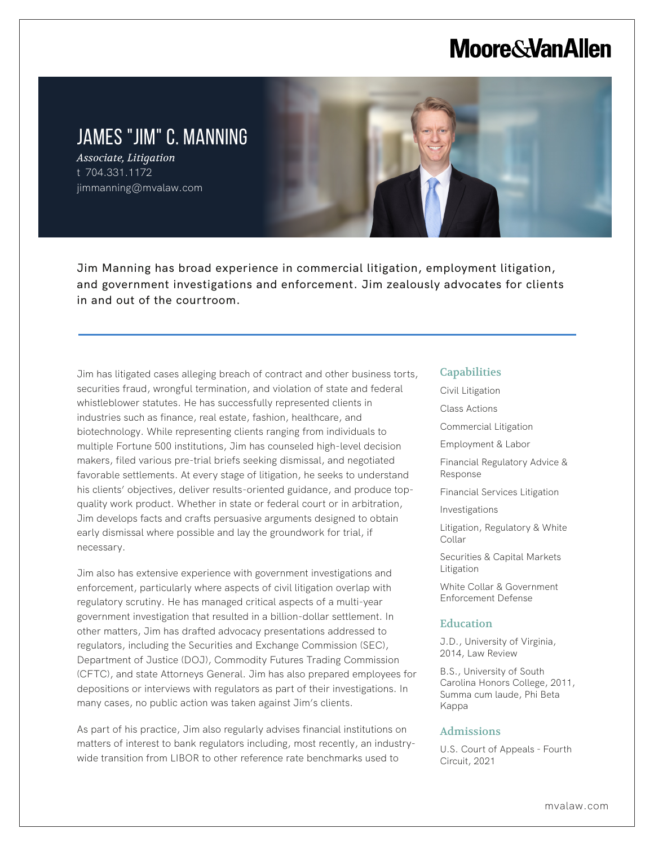# **Moore & Van Allen**

## JAMES "JIM" C. MANNING

*Associate, Litigation* t 704.331.1172 jimmanning@mvalaw.com

L

Jim Manning has broad experience in commercial litigation, employment litigation, and government investigations and enforcement. Jim zealously advocates for clients in and out of the courtroom.

Jim has litigated cases alleging breach of contract and other business torts, securities fraud, wrongful termination, and violation of state and federal whistleblower statutes. He has successfully represented clients in industries such as finance, real estate, fashion, healthcare, and biotechnology. While representing clients ranging from individuals to multiple Fortune 500 institutions, Jim has counseled high-level decision makers, filed various pre-trial briefs seeking dismissal, and negotiated favorable settlements. At every stage of litigation, he seeks to understand his clients' objectives, deliver results-oriented guidance, and produce topquality work product. Whether in state or federal court or in arbitration, Jim develops facts and crafts persuasive arguments designed to obtain early dismissal where possible and lay the groundwork for trial, if necessary.

Jim also has extensive experience with government investigations and enforcement, particularly where aspects of civil litigation overlap with regulatory scrutiny. He has managed critical aspects of a multi-year government investigation that resulted in a billion-dollar settlement. In other matters, Jim has drafted advocacy presentations addressed to regulators, including the Securities and Exchange Commission (SEC), Department of Justice (DOJ), Commodity Futures Trading Commission (CFTC), and state Attorneys General. Jim has also prepared employees for depositions or interviews with regulators as part of their investigations. In many cases, no public action was taken against Jim's clients.

As part of his practice, Jim also regularly advises financial institutions on matters of interest to bank regulators including, most recently, an industrywide transition from LIBOR to other reference rate benchmarks used to

#### Capabilities

Civil Litigation Class Actions Commercial Litigation Employment & Labor Financial Regulatory Advice & Response Financial Services Litigation Investigations Litigation, Regulatory & White Collar Securities & Capital Markets Litigation White Collar & Government Enforcement Defense Education J.D., University of Virginia, 2014, Law Review

B.S., University of South Carolina Honors College, 2011, Summa cum laude, Phi Beta Kappa

#### Admissions

U.S. Court of Appeals - Fourth Circuit, 2021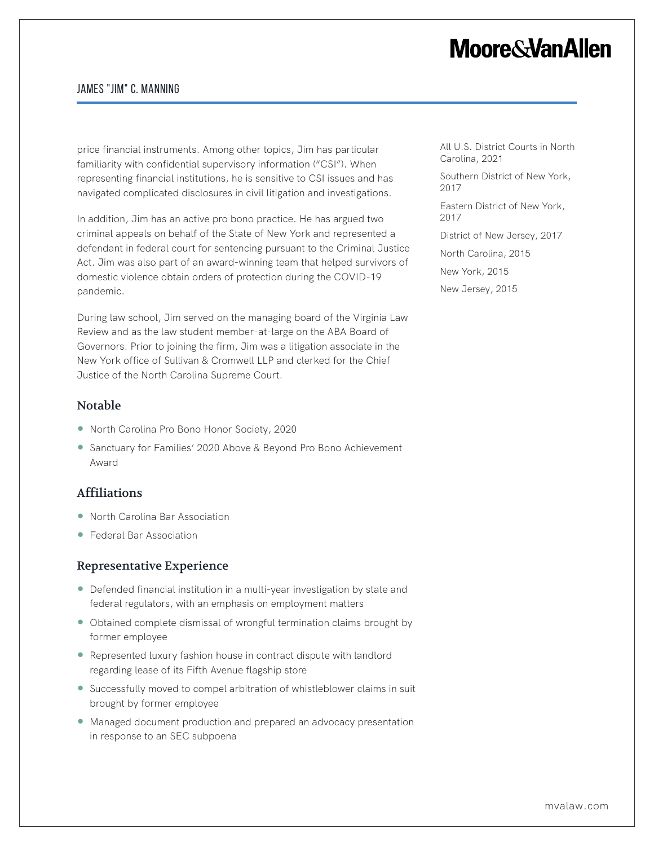# **Moore & Van Allen**

### James "Jim" C. Manning

price financial instruments. Among other topics, Jim has particular familiarity with confidential supervisory information ("CSI"). When representing financial institutions, he is sensitive to CSI issues and has navigated complicated disclosures in civil litigation and investigations.

In addition, Jim has an active pro bono practice. He has argued two criminal appeals on behalf of the State of New York and represented a defendant in federal court for sentencing pursuant to the Criminal Justice Act. Jim was also part of an award-winning team that helped survivors of domestic violence obtain orders of protection during the COVID-19 pandemic.

During law school, Jim served on the managing board of the Virginia Law Review and as the law student member-at-large on the ABA Board of Governors. Prior to joining the firm, Jim was a litigation associate in the New York office of Sullivan & Cromwell LLP and clerked for the Chief Justice of the North Carolina Supreme Court.

### Notable

- North Carolina Pro Bono Honor Society, 2020
- Sanctuary for Families' 2020 Above & Beyond Pro Bono Achievement Award

### Affiliations

- North Carolina Bar Association
- Federal Bar Association

#### Representative Experience

- Defended financial institution in a multi-year investigation by state and federal regulators, with an emphasis on employment matters
- Obtained complete dismissal of wrongful termination claims brought by former employee
- Represented luxury fashion house in contract dispute with landlord regarding lease of its Fifth Avenue flagship store
- Successfully moved to compel arbitration of whistleblower claims in suit brought by former employee
- Managed document production and prepared an advocacy presentation in response to an SEC subpoena

All U.S. District Courts in North Carolina, 2021

Southern District of New York, 2017

Eastern District of New York, 2017

District of New Jersey, 2017

North Carolina, 2015

New York, 2015

New Jersey, 2015